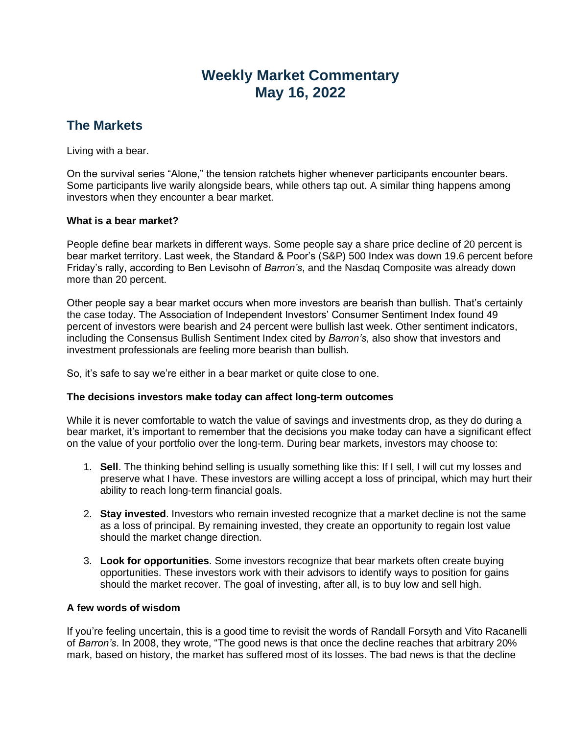# **Weekly Market Commentary May 16, 2022**

## **The Markets**

Living with a bear.

On the survival series "Alone," the tension ratchets higher whenever participants encounter bears. Some participants live warily alongside bears, while others tap out. A similar thing happens among investors when they encounter a bear market.

#### **What is a bear market?**

People define bear markets in different ways. Some people say a share price decline of 20 percent is bear market territory. Last week, the Standard & Poor's (S&P) 500 Index was down 19.6 percent before Friday's rally, according to Ben Levisohn of *Barron's*, and the Nasdaq Composite was already down more than 20 percent.

Other people say a bear market occurs when more investors are bearish than bullish. That's certainly the case today. The Association of Independent Investors' Consumer Sentiment Index found 49 percent of investors were bearish and 24 percent were bullish last week. Other sentiment indicators, including the Consensus Bullish Sentiment Index cited by *Barron's*, also show that investors and investment professionals are feeling more bearish than bullish.

So, it's safe to say we're either in a bear market or quite close to one.

#### **The decisions investors make today can affect long-term outcomes**

While it is never comfortable to watch the value of savings and investments drop, as they do during a bear market, it's important to remember that the decisions you make today can have a significant effect on the value of your portfolio over the long-term. During bear markets, investors may choose to:

- 1. **Sell**. The thinking behind selling is usually something like this: If I sell, I will cut my losses and preserve what I have. These investors are willing accept a loss of principal, which may hurt their ability to reach long-term financial goals.
- 2. **Stay invested**. Investors who remain invested recognize that a market decline is not the same as a loss of principal. By remaining invested, they create an opportunity to regain lost value should the market change direction.
- 3. **Look for opportunities**. Some investors recognize that bear markets often create buying opportunities. These investors work with their advisors to identify ways to position for gains should the market recover. The goal of investing, after all, is to buy low and sell high.

#### **A few words of wisdom**

If you're feeling uncertain, this is a good time to revisit the words of Randall Forsyth and Vito Racanelli of *Barron's*. In 2008, they wrote, "The good news is that once the decline reaches that arbitrary 20% mark, based on history, the market has suffered most of its losses. The bad news is that the decline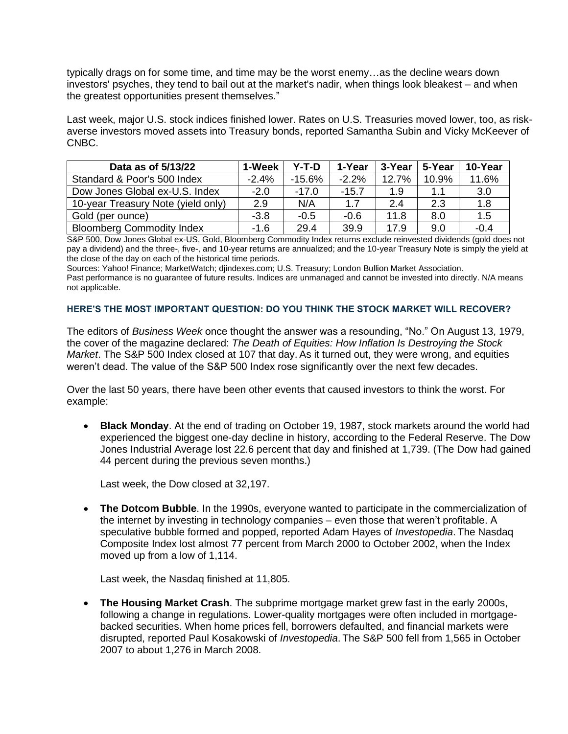typically drags on for some time, and time may be the worst enemy…as the decline wears down investors' psyches, they tend to bail out at the market's nadir, when things look bleakest – and when the greatest opportunities present themselves."

Last week, major U.S. stock indices finished lower. Rates on U.S. Treasuries moved lower, too, as riskaverse investors moved assets into Treasury bonds, reported Samantha Subin and Vicky McKeever of CNBC.

| Data as of 5/13/22                 | 1-Week  | Y-T-D    | 1-Year  | 3-Year | 5-Year | 10-Year |
|------------------------------------|---------|----------|---------|--------|--------|---------|
| Standard & Poor's 500 Index        | $-2.4%$ | $-15.6%$ | $-2.2%$ | 12.7%  | 10.9%  | 11.6%   |
| Dow Jones Global ex-U.S. Index     | $-2.0$  | $-17.0$  | $-15.7$ | 1.9    | 1.1    | 3.0     |
| 10-year Treasury Note (yield only) | 2.9     | N/A      | 1.7     | 2.4    | 2.3    | 1.8     |
| Gold (per ounce)                   | $-3.8$  | $-0.5$   | $-0.6$  | 11.8   | 8.0    | 1.5     |
| <b>Bloomberg Commodity Index</b>   | $-1.6$  | 29.4     | 39.9    | 17.9   | 9.0    | $-0.4$  |

S&P 500, Dow Jones Global ex-US, Gold, Bloomberg Commodity Index returns exclude reinvested dividends (gold does not pay a dividend) and the three-, five-, and 10-year returns are annualized; and the 10-year Treasury Note is simply the yield at the close of the day on each of the historical time periods.

Sources: Yahoo! Finance; MarketWatch; djindexes.com; U.S. Treasury; London Bullion Market Association. Past performance is no guarantee of future results. Indices are unmanaged and cannot be invested into directly. N/A means not applicable.

#### **HERE'S THE MOST IMPORTANT QUESTION: DO YOU THINK THE STOCK MARKET WILL RECOVER?**

The editors of *Business Week* once thought the answer was a resounding, "No." On August 13, 1979, the cover of the magazine declared: *The Death of Equities: How Inflation Is Destroying the Stock Market*. The S&P 500 Index closed at 107 that day. As it turned out, they were wrong, and equities weren't dead. The value of the S&P 500 Index rose significantly over the next few decades.

Over the last 50 years, there have been other events that caused investors to think the worst. For example:

• **Black Monday**. At the end of trading on October 19, 1987, stock markets around the world had experienced the biggest one-day decline in history, according to the Federal Reserve. The Dow Jones Industrial Average lost 22.6 percent that day and finished at 1,739. (The Dow had gained 44 percent during the previous seven months.)

Last week, the Dow closed at 32,197.

• **The Dotcom Bubble**. In the 1990s, everyone wanted to participate in the commercialization of the internet by investing in technology companies – even those that weren't profitable. A speculative bubble formed and popped, reported Adam Hayes of *Investopedia*. The Nasdaq Composite Index lost almost 77 percent from March 2000 to October 2002, when the Index moved up from a low of 1,114.

Last week, the Nasdaq finished at 11,805.

• **The Housing Market Crash**. The subprime mortgage market grew fast in the early 2000s, following a change in regulations. Lower-quality mortgages were often included in mortgagebacked securities. When home prices fell, borrowers defaulted, and financial markets were disrupted, reported Paul Kosakowski of *Investopedia*. The S&P 500 fell from 1,565 in October 2007 to about 1,276 in March 2008.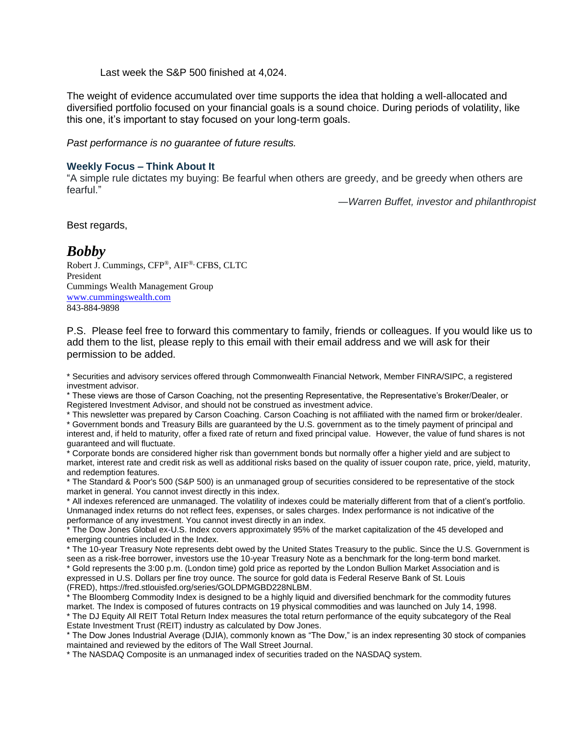Last week the S&P 500 finished at 4,024.

The weight of evidence accumulated over time supports the idea that holding a well-allocated and diversified portfolio focused on your financial goals is a sound choice. During periods of volatility, like this one, it's important to stay focused on your long-term goals.

*Past performance is no guarantee of future results.* 

#### **Weekly Focus – Think About It**

"A simple rule dictates my buying: Be fearful when others are greedy, and be greedy when others are fearful."

*―Warren Buffet, investor and philanthropist*

Best regards,

### *Bobby*

Robert J. Cummings, CFP®, AIF®, CFBS, CLTC President Cummings Wealth Management Group [www.cummingswealth.com](http://www.cummingswealth.com/) 843-884-9898

P.S. Please feel free to forward this commentary to family, friends or colleagues. If you would like us to add them to the list, please reply to this email with their email address and we will ask for their permission to be added.

\* Securities and advisory services offered through Commonwealth Financial Network, Member FINRA/SIPC, a registered investment advisor.

\* These views are those of Carson Coaching, not the presenting Representative, the Representative's Broker/Dealer, or Registered Investment Advisor, and should not be construed as investment advice.

\* This newsletter was prepared by Carson Coaching. Carson Coaching is not affiliated with the named firm or broker/dealer. \* Government bonds and Treasury Bills are guaranteed by the U.S. government as to the timely payment of principal and interest and, if held to maturity, offer a fixed rate of return and fixed principal value. However, the value of fund shares is not guaranteed and will fluctuate.

\* Corporate bonds are considered higher risk than government bonds but normally offer a higher yield and are subject to market, interest rate and credit risk as well as additional risks based on the quality of issuer coupon rate, price, yield, maturity, and redemption features.

\* The Standard & Poor's 500 (S&P 500) is an unmanaged group of securities considered to be representative of the stock market in general. You cannot invest directly in this index.

\* All indexes referenced are unmanaged. The volatility of indexes could be materially different from that of a client's portfolio. Unmanaged index returns do not reflect fees, expenses, or sales charges. Index performance is not indicative of the performance of any investment. You cannot invest directly in an index.

\* The Dow Jones Global ex-U.S. Index covers approximately 95% of the market capitalization of the 45 developed and emerging countries included in the Index.

\* The 10-year Treasury Note represents debt owed by the United States Treasury to the public. Since the U.S. Government is seen as a risk-free borrower, investors use the 10-year Treasury Note as a benchmark for the long-term bond market. \* Gold represents the 3:00 p.m. (London time) gold price as reported by the London Bullion Market Association and is expressed in U.S. Dollars per fine troy ounce. The source for gold data is Federal Reserve Bank of St. Louis (FRED), https://fred.stlouisfed.org/series/GOLDPMGBD228NLBM.

\* The Bloomberg Commodity Index is designed to be a highly liquid and diversified benchmark for the commodity futures market. The Index is composed of futures contracts on 19 physical commodities and was launched on July 14, 1998. \* The DJ Equity All REIT Total Return Index measures the total return performance of the equity subcategory of the Real Estate Investment Trust (REIT) industry as calculated by Dow Jones.

\* The Dow Jones Industrial Average (DJIA), commonly known as "The Dow," is an index representing 30 stock of companies maintained and reviewed by the editors of The Wall Street Journal.

\* The NASDAQ Composite is an unmanaged index of securities traded on the NASDAQ system.